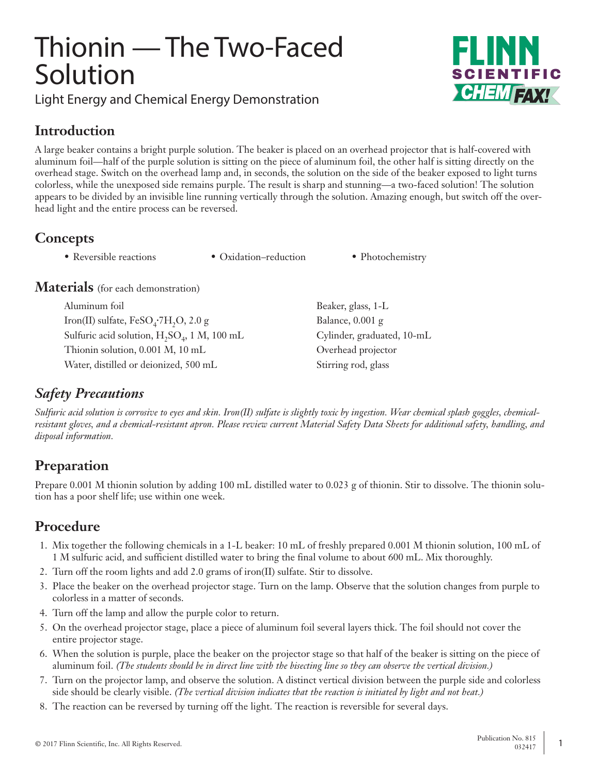# Thionin — The Two-Faced Solution

Light Energy and Chemical Energy Demonstration



#### **Introduction**

A large beaker contains a bright purple solution. The beaker is placed on an overhead projector that is half-covered with aluminum foil—half of the purple solution is sitting on the piece of aluminum foil, the other half is sitting directly on the overhead stage. Switch on the overhead lamp and, in seconds, the solution on the side of the beaker exposed to light turns colorless, while the unexposed side remains purple. The result is sharp and stunning—a two-faced solution! The solution appears to be divided by an invisible line running vertically through the solution. Amazing enough, but switch off the overhead light and the entire process can be reversed.

### **Concepts**

• Reversible reactions • Oxidation–reduction • Photochemistry

**Materials** (for each demonstration)

Aluminum foil Beaker, glass, 1-L Iron(II) sulfate,  $FeSO_4$ <sup>-7</sup>H<sub>2</sub>O, 2.0 g Balance, 0.001 g Sulfuric acid solution, H<sub>2</sub>SO<sub>4</sub>, 1 M, 100 mL Cylinder, graduated, 10-mL Thionin solution, 0.001 M, 10 mL Overhead projector Water, distilled or deionized, 500 mL Stirring rod, glass

## *Safety Precautions*

*Sulfuric acid solution is corrosive to eyes and skin. Iron(II) sulfate is slightly toxic by ingestion. Wear chemical splash goggles, chemicalresistant gloves, and a chemical-resistant apron. Please review current Material Safety Data Sheets for additional safety, handling, and disposal information.*

## **Preparation**

Prepare 0.001 M thionin solution by adding 100 mL distilled water to 0.023 g of thionin. Stir to dissolve. The thionin solution has a poor shelf life; use within one week.

## **Procedure**

- 1. Mix together the following chemicals in a 1-L beaker: 10 mL of freshly prepared 0.001 M thionin solution, 100 mL of 1 M sulfuric acid, and sufficient distilled water to bring the final volume to about 600 mL. Mix thoroughly.
- 2. Turn off the room lights and add 2.0 grams of iron(II) sulfate. Stir to dissolve.
- 3. Place the beaker on the overhead projector stage. Turn on the lamp. Observe that the solution changes from purple to colorless in a matter of seconds.
- 4. Turn off the lamp and allow the purple color to return.
- 5. On the overhead projector stage, place a piece of aluminum foil several layers thick. The foil should not cover the entire projector stage.
- 6. When the solution is purple, place the beaker on the projector stage so that half of the beaker is sitting on the piece of aluminum foil. *(The students should be in direct line with the bisecting line so they can observe the vertical division.)*
- 7. Turn on the projector lamp, and observe the solution. A distinct vertical division between the purple side and colorless side should be clearly visible. *(The vertical division indicates that the reaction is initiated by light and not heat.)*
- 8. The reaction can be reversed by turning off the light. The reaction is reversible for several days.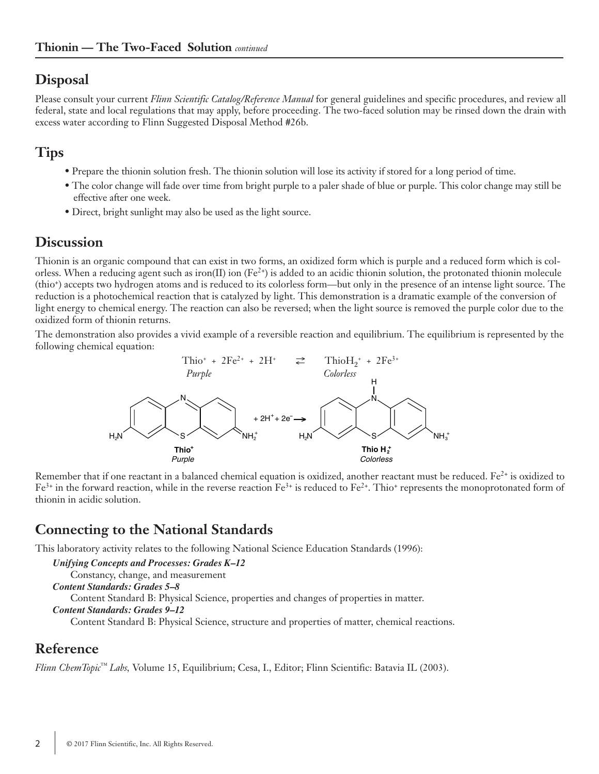#### **Disposal**

Please consult your current *Flinn Scientific Catalog/Reference Manual* for general guidelines and specific procedures, and review all federal, state and local regulations that may apply, before proceeding. The two-faced solution may be rinsed down the drain with excess water according to Flinn Suggested Disposal Method #26b.

#### **Tips**

- Prepare the thionin solution fresh. The thionin solution will lose its activity if stored for a long period of time.
- The color change will fade over time from bright purple to a paler shade of blue or purple. This color change may still be effective after one week.
- Direct, bright sunlight may also be used as the light source.

#### **Discussion**

Thionin is an organic compound that can exist in two forms, an oxidized form which is purple and a reduced form which is colorless. When a reducing agent such as iron(II) ion (Fe<sup>2+</sup>) is added to an acidic thionin solution, the protonated thionin molecule (thio+) accepts two hydrogen atoms and is reduced to its colorless form—but only in the presence of an intense light source. The reduction is a photochemical reaction that is catalyzed by light. This demonstration is a dramatic example of the conversion of light energy to chemical energy. The reaction can also be reversed; when the light source is removed the purple color due to the oxidized form of thionin returns.

The demonstration also provides a vivid example of a reversible reaction and equilibrium. The equilibrium is represented by the following chemical equation:



Remember that if one reactant in a balanced chemical equation is oxidized, another reactant must be reduced.  $Fe<sup>2+</sup>$  is oxidized to  $Fe<sup>3+</sup>$  in the forward reaction, while in the reverse reaction  $Fe<sup>3+</sup>$  is reduced to  $Fe<sup>2+</sup>$ . Thio+ represents the monoprotonated form of thionin in acidic solution.

#### **Connecting to the National Standards**

This laboratory activity relates to the following National Science Education Standards (1996):

```
Unifying Concepts and Processes: Grades K–12
    Constancy, change, and measurement
Content Standards: Grades 5–8
    Content Standard B: Physical Science, properties and changes of properties in matter.
Content Standards: Grades 9–12
    Content Standard B: Physical Science, structure and properties of matter, chemical reactions.
```
#### **Reference**

*Flinn ChemTopic™ Labs,* Volume 15, Equilibrium; Cesa, I., Editor; Flinn Scientific: Batavia IL (2003).